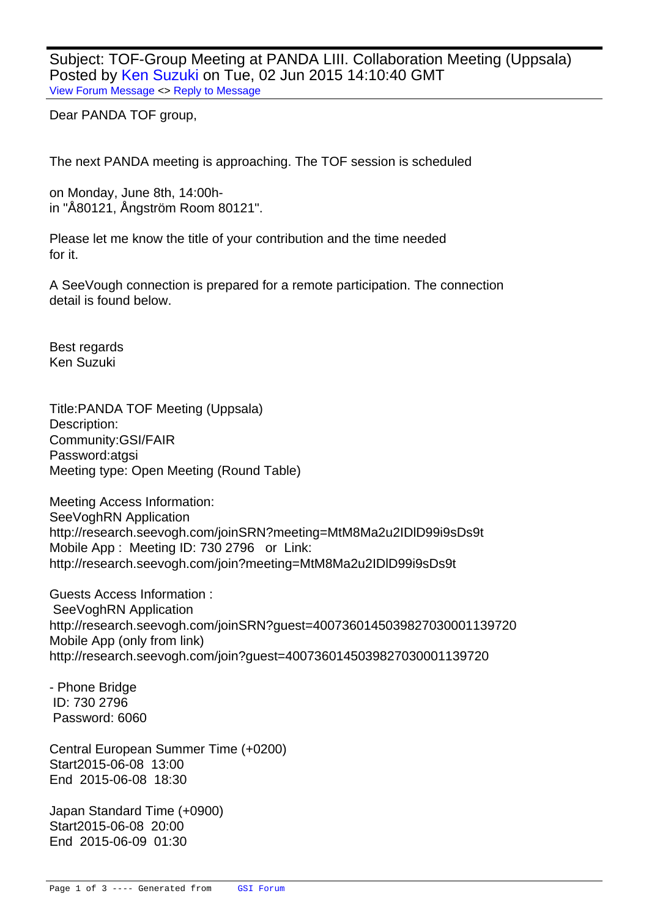Subject: TOF-Group Meeting at PANDA LIII. Collaboration Meeting (Uppsala) Posted by Ken Suzuki on Tue, 02 Jun 2015 14:10:40 GMT View Forum Message <> Reply to Message

Dear PANDA TOF group,

The next PANDA meeting is approaching. The TOF session is scheduled

on Monday, June 8th, 14:00hin "Å80121, Ångström Room 80121".

Please let me know the title of your contribution and the time needed for it.

A SeeVough connection is prepared for a remote participation. The connection detail is found below.

Best regards Ken Suzuki

Title: PANDA TOF Meeting (Uppsala) Description: Community: GSI/FAIR Password: atgsi Meeting type: Open Meeting (Round Table)

Meeting Access Information: SeeVoghRN Application http://research.seevogh.com/joinSRN?meeting=MtM8Ma2u2IDlD99i9sDs9t Mobile App : Meeting ID: 730 2796 or Link: http://research.seevogh.com/join?meeting=MtM8Ma2u2IDlD99i9sDs9t

Guests Access Information : SeeVoghRN Application http://research.seevogh.com/joinSRN?guest=4007360145039827030001139720 Mobile App (only from link) http://research.seevogh.com/join?guest=4007360145039827030001139720

- Phone Bridge ID: 730 2796 Password: 6060

Central European Summer Time (+0200) Start 2015-06-08 13:00 End 2015-06-08 18:30

Japan Standard Time (+0900) Start 2015-06-08 20:00 End 2015-06-09 01:30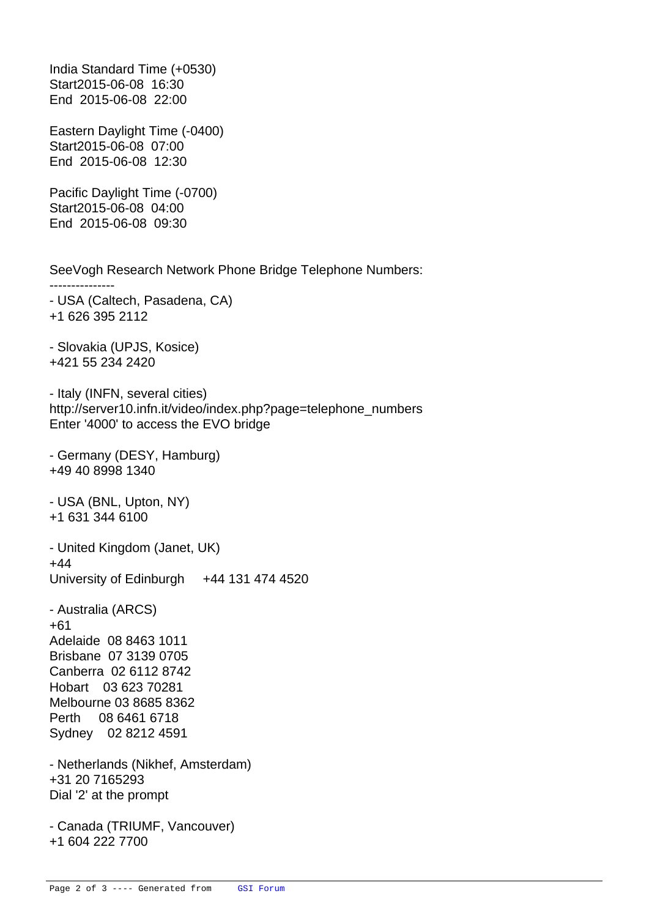India Standard Time (+0530) Start 2015-06-08 16:30 End 2015-06-08 22:00 Eastern Daylight Time (-0400) Start 2015-06-08 07:00 End 2015-06-08 12:30 Pacific Daylight Time (-0700) Start 2015-06-08 04:00 End 2015-06-08 09:30 SeeVogh Research Network Phone Bridge Telephone Numbers: --------------- - USA (Caltech, Pasadena, CA) +1 626 395 2112 - Slovakia (UPJS, Kosice) +421 55 234 2420 - Italy (INFN, several cities) http://server10.infn.it/video/index.php?page=telephone\_numbers Enter '4000' to access the EVO bridge - Germany (DESY, Hamburg) +49 40 8998 1340 - USA (BNL, Upton, NY) +1 631 344 6100 - United Kingdom (Janet, UK) +44 University of Edinburgh +44 131 474 4520 - Australia (ARCS) +61 Adelaide 08 8463 1011 Brisbane 07 3139 0705 Canberra 02 6112 8742 Hobart 03 623 70281 Melbourne 03 8685 8362 Perth 08 6461 6718 Sydney 02 8212 4591 - Netherlands (Nikhef, Amsterdam) +31 20 7165293 Dial '2' at the prompt - Canada (TRIUMF, Vancouver) +1 604 222 7700